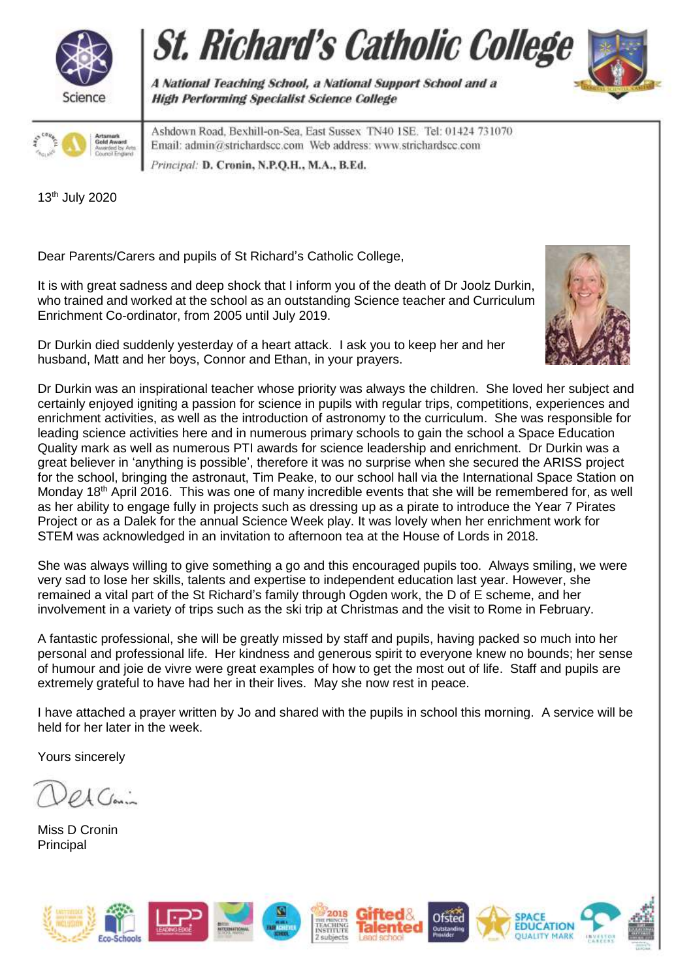





Ashdown Road, Bexhill-on-Sea, East Sussex TN40 ISE. Tel: 01424 731070 Email: admin@strichardscc.com Web address: www.strichardscc.com Principal: D. Cronin, N.P.Q.H., M.A., B.Ed.

A National Teaching School, a National Support School and a

13th July 2020

Dear Parents/Carers and pupils of St Richard's Catholic College,

It is with great sadness and deep shock that I inform you of the death of Dr Joolz Durkin, who trained and worked at the school as an outstanding Science teacher and Curriculum Enrichment Co-ordinator, from 2005 until July 2019.

**High Performing Specialist Science College** 



Dr Durkin died suddenly yesterday of a heart attack. I ask you to keep her and her husband, Matt and her boys, Connor and Ethan, in your prayers.

Dr Durkin was an inspirational teacher whose priority was always the children. She loved her subject and certainly enjoyed igniting a passion for science in pupils with regular trips, competitions, experiences and enrichment activities, as well as the introduction of astronomy to the curriculum. She was responsible for leading science activities here and in numerous primary schools to gain the school a Space Education Quality mark as well as numerous PTI awards for science leadership and enrichment. Dr Durkin was a great believer in 'anything is possible', therefore it was no surprise when she secured the ARISS project for the school, bringing the astronaut, Tim Peake, to our school hall via the International Space Station on Monday 18<sup>th</sup> April 2016. This was one of many incredible events that she will be remembered for, as well as her ability to engage fully in projects such as dressing up as a pirate to introduce the Year 7 Pirates Project or as a Dalek for the annual Science Week play. It was lovely when her enrichment work for STEM was acknowledged in an invitation to afternoon tea at the House of Lords in 2018.

She was always willing to give something a go and this encouraged pupils too. Always smiling, we were very sad to lose her skills, talents and expertise to independent education last year. However, she remained a vital part of the St Richard's family through Ogden work, the D of E scheme, and her involvement in a variety of trips such as the ski trip at Christmas and the visit to Rome in February.

A fantastic professional, she will be greatly missed by staff and pupils, having packed so much into her personal and professional life. Her kindness and generous spirit to everyone knew no bounds; her sense of humour and joie de vivre were great examples of how to get the most out of life. Staff and pupils are extremely grateful to have had her in their lives. May she now rest in peace.

I have attached a prayer written by Jo and shared with the pupils in school this morning. A service will be held for her later in the week.

Yours sincerely

 $Q\Lambda$   $C_{\text{max}}$ 

Miss D Cronin **Principal**